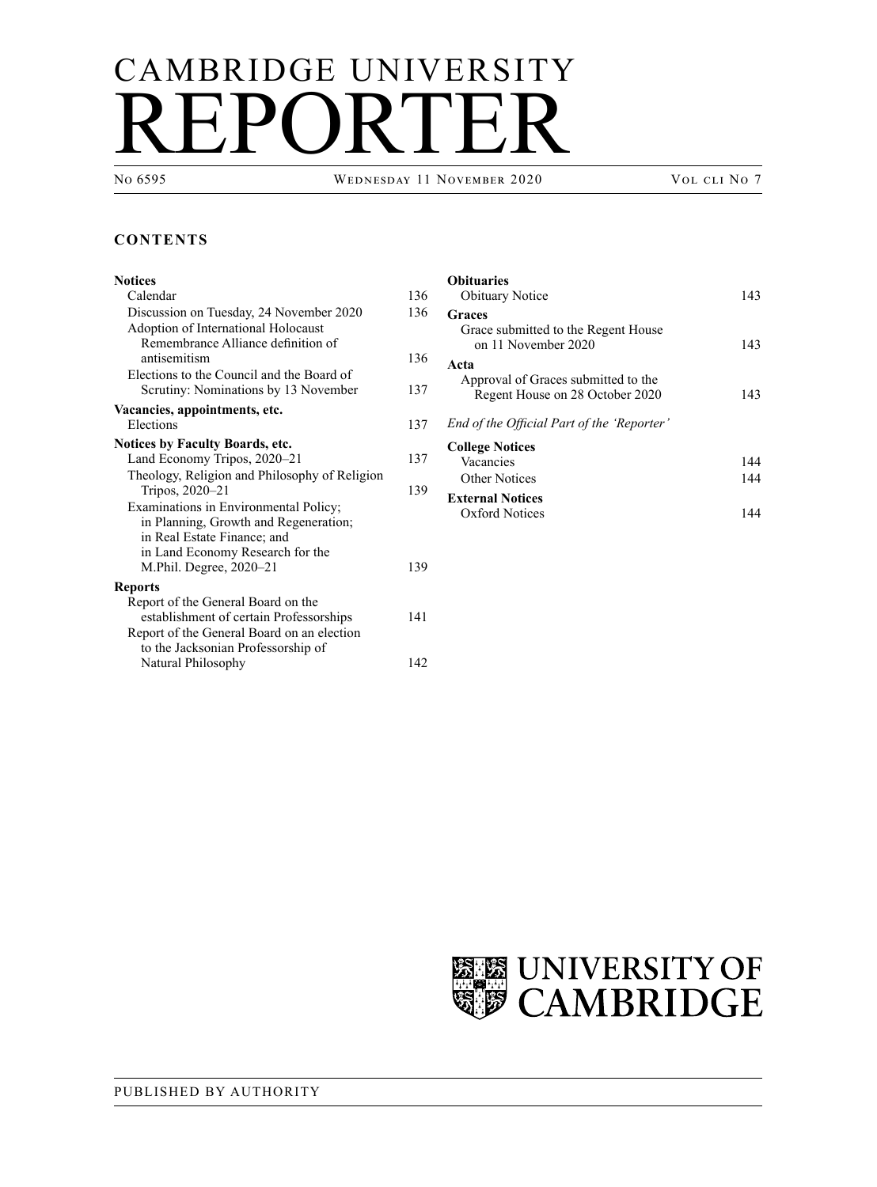# CAMBRIDGE UNIVERSITY REPORTER

No 6595 Wednesday 11 November 2020 Vol cli No 7

# **CONTENTS**

# **[Notices](#page-1-0)** [Calendar](#page-1-0) 136 [Discussion on Tuesday, 24](#page-1-0) November 2020 136 [Adoption of International Holocaust](#page-1-0)  [Remembrance Alliance definition of](#page-1-0)  [antisemitism](#page-1-0) 136 [Elections to the Council and the Board of](#page-2-0)  [Scrutiny: Nominations by 13](#page-2-0) November 137 **[Vacancies, appointments, etc.](#page-2-0)** [Elections](#page-2-0) 137 **[Notices by Faculty Boards, etc.](#page-2-0)** [Land Economy Tripos, 2020–21](#page-2-0) 137 [Theology, Religion and Philosophy of Religion](#page-4-0)  [Tripos, 2020–21](#page-4-0) 139 [Examinations in Environmental](#page-4-0) Policy; in [Planning, Growth and Regeneration;](#page-4-0)  in [Real Estate Finance; and](#page-4-0)  in Land Economy [Research for the](#page-4-0)  M.Phil. [Degree, 2020–21](#page-4-0) 139 **[Reports](#page-6-0)** [Report of the General Board on the](#page-6-0)  [establishment of certain Professorships](#page-6-0) 141 [Report of the General Board on an election](#page-7-0)  [to the Jacksonian Professorship of](#page-7-0)  Natural [Philosophy](#page-7-0) 142

| <b>Obituaries</b><br><b>Obituary Notice</b>                                    | 143        |
|--------------------------------------------------------------------------------|------------|
| Graces<br>Grace submitted to the Regent House<br>on 11 November 2020           | 143        |
| Acta<br>Approval of Graces submitted to the<br>Regent House on 28 October 2020 | 143        |
| End of the Official Part of the 'Reporter'                                     |            |
| <b>College Notices</b><br>Vacancies<br>Other Notices                           | 144<br>144 |
| <b>External Notices</b><br>Oxford Notices                                      |            |

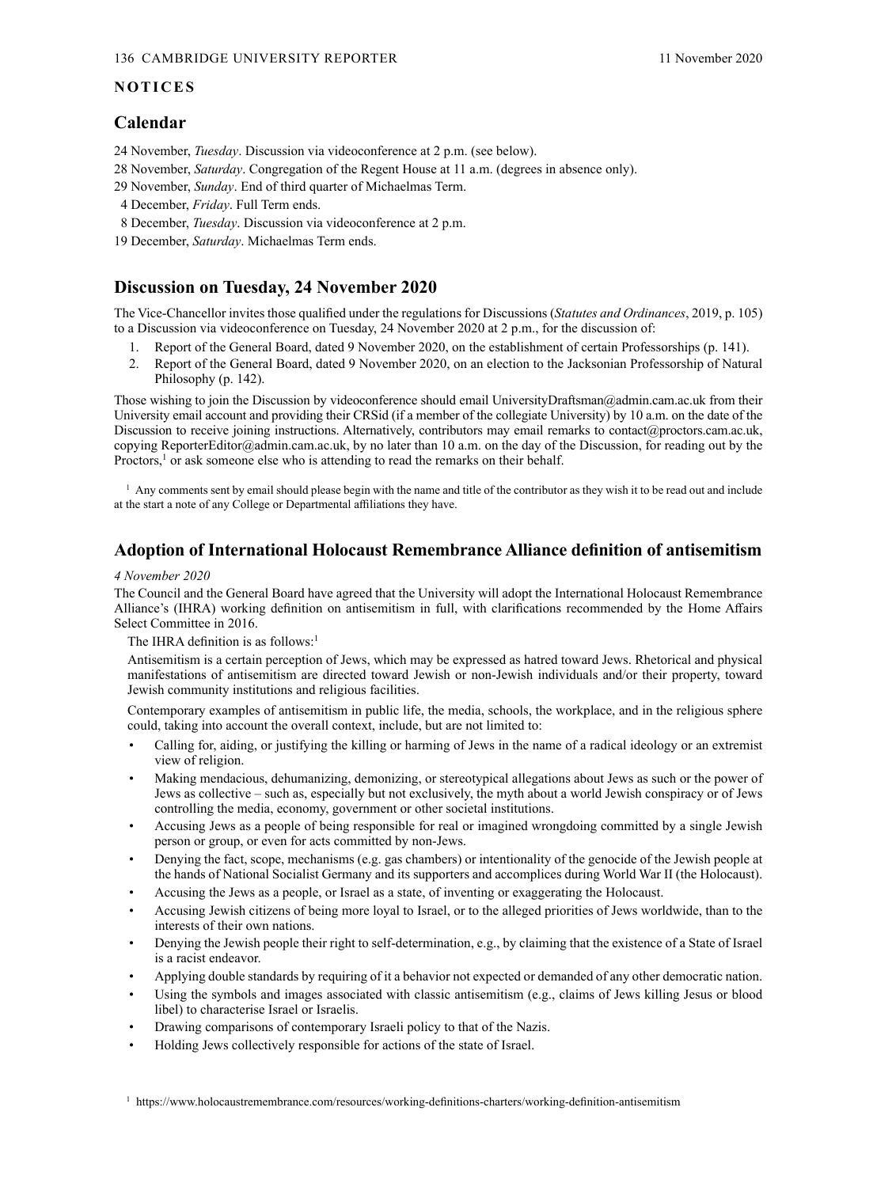# <span id="page-1-0"></span>**NOTICES**

# **Calendar**

24 November, *Tuesday*. Discussion via videoconference at 2 p.m. (see below).

28 November, *Saturday*. Congregation of the Regent House at 11 a.m. (degrees in absence only).

29 November, *Sunday*. End of third quarter of Michaelmas Term.

- 4 December, *Friday*. Full Term ends.
- 8 December, *Tuesday*. Discussion via videoconference at 2 p.m.
- 19 December, *Saturday*. Michaelmas Term ends.

# **Discussion on Tuesday, 24 November 2020**

The Vice-Chancellor invites those qualified under the regulations for Discussions (*[Statutes and Ordinances](https://www.admin.cam.ac.uk/univ/so/2019/chapter01-section4.html#heading2-2)*, 2019, p. 105) to a Discussion via videoconference on Tuesday, 24 November 2020 at 2 p.m., for the discussion of:

- 1. Report of the General Board, dated 9 November 2020, on the establishment of certain Professorships (p. [141\).](#page-8-0)
- 2. Report of the General Board, dated 9 [November 2020, on an election to the Jacksonian Professorship of Natural](#page-8-0)  [Philosophy \(p.](#page-8-0) 142).

Those wishing to join the Discussion by videoconference should email [UniversityDraftsman@admin.cam.ac.uk fro](mailto:UniversityDraftsman@admin.cam.ac.uk)m their University email account and providing their CRSid (if a member of the collegiate University) by 10 a.m. on the date of the Discussion to receive joining instructions. Alternatively, contributors may email remarks to contact@proctors.cam.ac.uk, copying [ReporterEditor@admin.cam.ac.uk, by](mailto:ReporterEditor@admin.cam.ac.uk) no later than 10 a.m. on the day of the Discussion, for reading out by the Proctors,<sup>1</sup> or ask someone else who is attending to read the remarks on their behalf.

 $<sup>1</sup>$  Any comments sent by email should please begin with the name and title of the contributor as they wish it to be read out and include</sup> at the start a note of any College or Departmental affiliations they have.

# **Adoption of International Holocaust Remembrance Alliance definition of antisemitism**

#### *4 November 2020*

The Council and the General Board have agreed that the University will adopt the International Holocaust Remembrance Alliance's (IHRA) working definition on antisemitism in full, with clarifications recommended by the Home Affairs Select Committee in 2016.

#### The IHRA definition is as follows:<sup>1</sup>

Antisemitism is a certain perception of Jews, which may be expressed as hatred toward Jews. Rhetorical and physical manifestations of antisemitism are directed toward Jewish or non‑Jewish individuals and/or their property, toward Jewish community institutions and religious facilities.

Contemporary examples of antisemitism in public life, the media, schools, the workplace, and in the religious sphere could, taking into account the overall context, include, but are not limited to:

- Calling for, aiding, or justifying the killing or harming of Jews in the name of a radical ideology or an extremist view of religion.
- Making mendacious, dehumanizing, demonizing, or stereotypical allegations about Jews as such or the power of Jews as collective – such as, especially but not exclusively, the myth about a world Jewish conspiracy or of Jews controlling the media, economy, government or other societal institutions.
- Accusing Jews as a people of being responsible for real or imagined wrongdoing committed by a single Jewish person or group, or even for acts committed by non‑Jews.
- Denying the fact, scope, mechanisms (e.g. gas chambers) or intentionality of the genocide of the Jewish people at the hands of National Socialist Germany and its supporters and accomplices during World War II (the Holocaust).
- Accusing the Jews as a people, or Israel as a state, of inventing or exaggerating the Holocaust.
- Accusing Jewish citizens of being more loyal to Israel, or to the alleged priorities of Jews worldwide, than to the interests of their own nations.
- Denying the Jewish people their right to self-determination, e.g., by claiming that the existence of a State of Israel is a racist endeavor.
- Applying double standards by requiring of it a behavior not expected or demanded of any other democratic nation.
- Using the symbols and images associated with classic antisemitism (e.g., claims of Jews killing Jesus or blood libel) to characterise Israel or Israelis.
- Drawing comparisons of contemporary Israeli policy to that of the Nazis.
- Holding Jews collectively responsible for actions of the state of Israel.

<sup>1</sup> <https://www.holocaustremembrance.com/resources/working-definitions-charters/working-definition-antisemitism>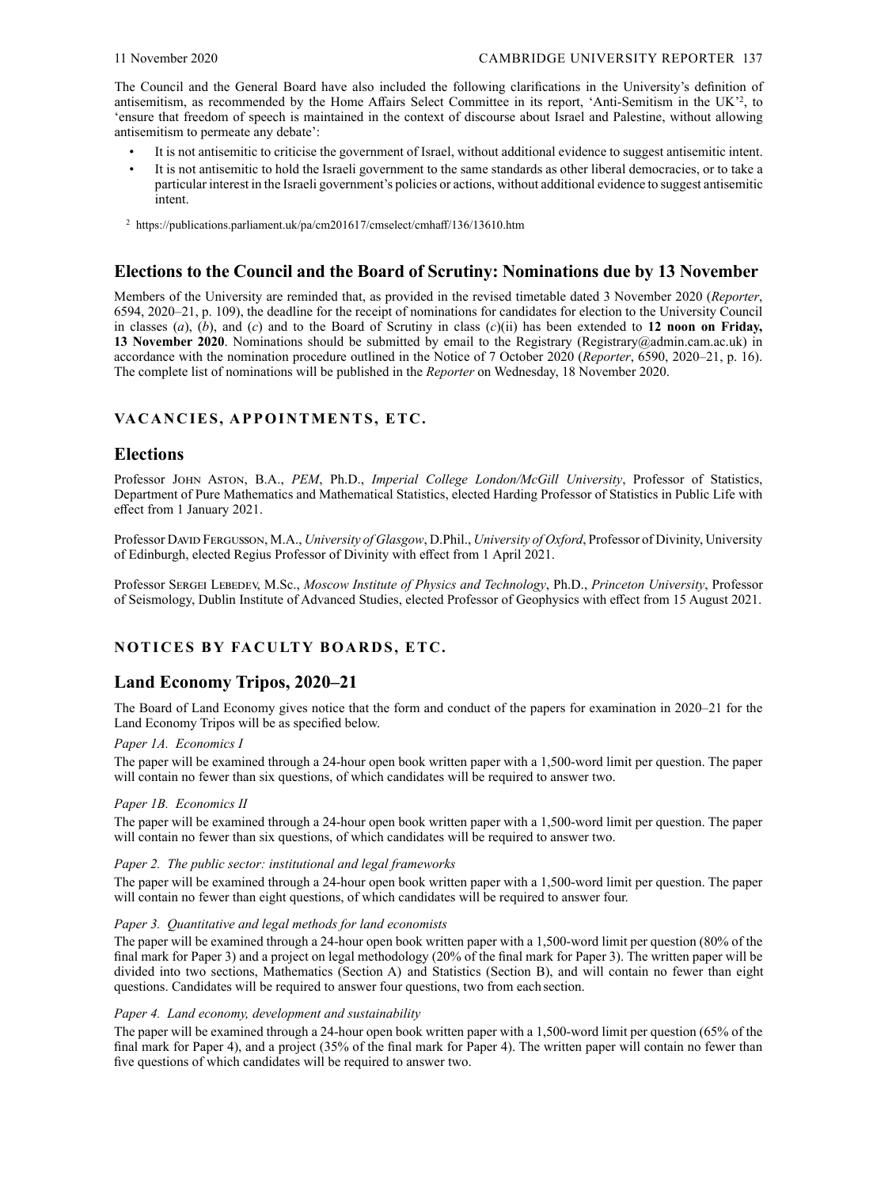<span id="page-2-0"></span>The Council and the General Board have also included the following clarifications in the University's definition of antisemitism, as recommended by the Home Affairs Select Committee in its report, 'Anti-Semitism in the UK'<sup>2</sup>, to 'ensure that freedom of speech is maintained in the context of discourse about Israel and Palestine, without allowing antisemitism to permeate any debate':

- It is not antisemitic to criticise the government of Israel, without additional evidence to suggest antisemitic intent.
- It is not antisemitic to hold the Israeli government to the same standards as other liberal democracies, or to take a particular interest in the Israeli government's policies or actions, without additional evidence to suggest antisemitic intent.
- <sup>2</sup> https://publications.parliament.uk/pa/cm201617/cmselect/cmhaff/136/13610.htm

# **Elections to the Council and the Board of Scrutiny: Nominations due by 13 November**

Members of the University are reminded that, as provided in the revised timetable dated 3 November 2020 (*Reporter*, [6594, 2020–21, p. 109\), the deadline for the receipt of nominations for candidates for election to the University Council](https://www.admin.cam.ac.uk/reporter/2020-21/weekly/6594/6594_public.pdf#page=3)  in classes (*a*), (*b*), and (*c*) and to the Board of Scrutiny in class (*c*)(ii) has been extended to **12 noon on Friday,**  13 November 2020. Nominations should be submitted by email to the Registrary (Registrary@admin.cam.ac.uk) in accordance with the nomination procedure outlined in the Notice of 7 October 2020 (*Reporter*[, 6590, 2020–21, p. 16\)](https://www.admin.cam.ac.uk/reporter/2020-21/weekly/6590/section1.shtml#heading2-9). The complete list of nominations will be published in the *Reporter* on Wednesday, 18 November 2020.

# **VACANCIES, APPOINTMENTS, ETC.**

# **Elections**

Professor John Aston, B.A., *PEM*, Ph.D., *Imperial College London/McGill University*, Professor of Statistics, Department of Pure Mathematics and Mathematical Statistics, elected Harding Professor of Statistics in Public Life with effect from 1 January 2021.

Professor David Fergusson, M.A., *University of Glasgow*, D.Phil., *University of Oxford*, Professor of Divinity, University of Edinburgh, elected Regius Professor of Divinity with effect from 1 April 2021.

Professor Sergei Lebedev, M.Sc., *Moscow Institute of Physics and Technology*, Ph.D., *Princeton University*, Professor of Seismology, Dublin Institute of Advanced Studies, elected Professor of Geophysics with effect from 15 August 2021.

# **NOTICES BY FACULT Y BOARDS, ETC.**

# **Land Economy Tripos, 2020–21**

The Board of Land Economy gives notice that the form and conduct of the papers for examination in 2020–21 for the Land Economy Tripos will be as specified below.

# *Paper 1A. Economics I*

The paper will be examined through a 24-hour open book written paper with a 1,500-word limit per question. The paper will contain no fewer than six questions, of which candidates will be required to answer two.

# *Paper 1B. Economics II*

The paper will be examined through a 24-hour open book written paper with a 1,500-word limit per question. The paper will contain no fewer than six questions, of which candidates will be required to answer two.

# *Paper 2. The public sector: institutional and legal frameworks*

The paper will be examined through a 24-hour open book written paper with a 1,500-word limit per question. The paper will contain no fewer than eight questions, of which candidates will be required to answer four.

# *Paper 3. Quantitative and legal methods for land economists*

The paper will be examined through a 24-hour open book written paper with a 1,500-word limit per question (80% of the final mark for Paper 3) and a project on legal methodology (20% of the final mark for Paper 3). The written paper will be divided into two sections, Mathematics (Section A) and Statistics (Section B), and will contain no fewer than eight questions. Candidates will be required to answer four questions, two from each section.

# *Paper 4. Land economy, development and sustainability*

The paper will be examined through a 24-hour open book written paper with a 1,500-word limit per question (65% of the final mark for Paper 4), and a project (35% of the final mark for Paper 4). The written paper will contain no fewer than five questions of which candidates will be required to answer two.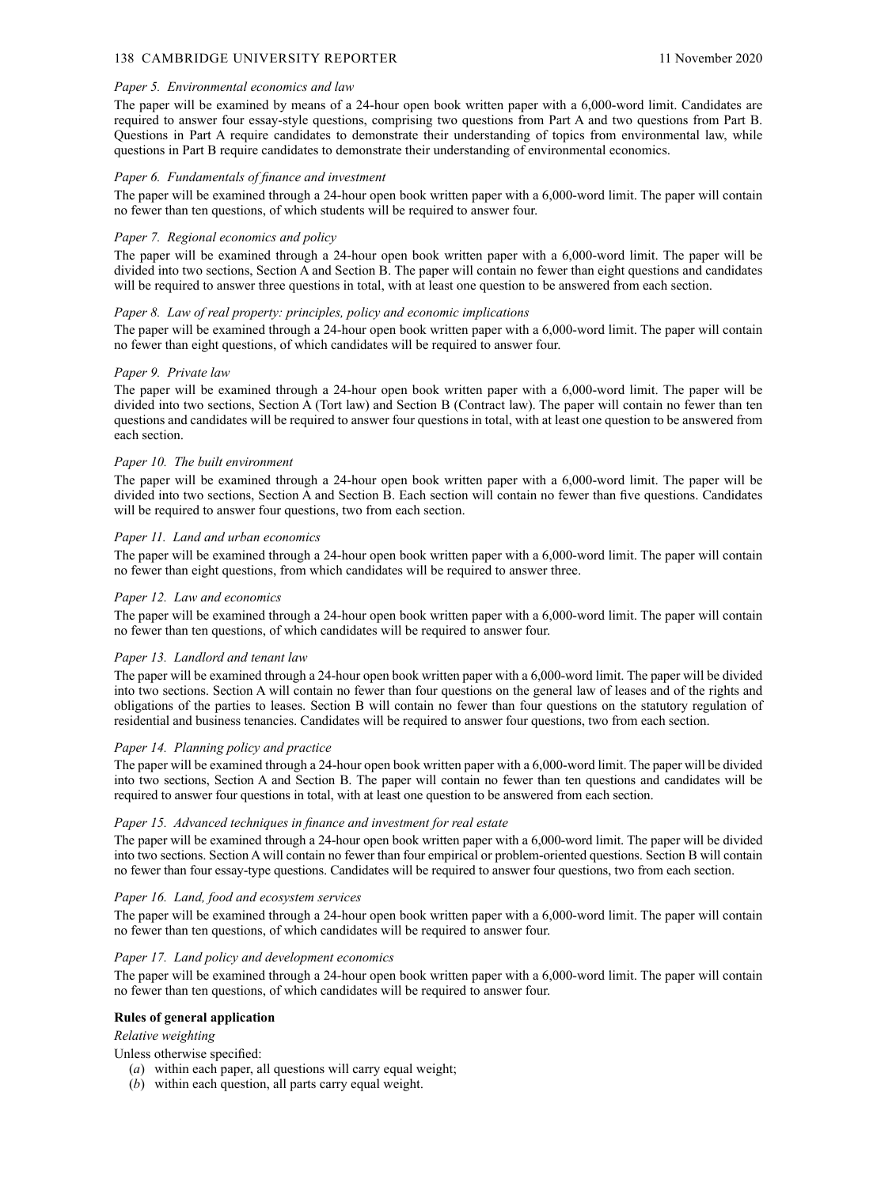#### 138 CAMBRIDGE UNIVERSITY REPORTER 11 November 2020

#### *Paper 5. Environmental economics and law*

The paper will be examined by means of a 24‑hour open book written paper with a 6,000-word limit. Candidates are required to answer four essay-style questions, comprising two questions from Part A and two questions from Part B. Questions in Part A require candidates to demonstrate their understanding of topics from environmental law, while questions in Part B require candidates to demonstrate their understanding of environmental economics.

#### *Paper 6. Fundamentals of finance and investment*

The paper will be examined through a 24‑hour open book written paper with a 6,000-word limit. The paper will contain no fewer than ten questions, of which students will be required to answer four.

#### *Paper 7. Regional economics and policy*

The paper will be examined through a 24‑hour open book written paper with a 6,000-word limit. The paper will be divided into two sections, Section A and Section B. The paper will contain no fewer than eight questions and candidates will be required to answer three questions in total, with at least one question to be answered from each section.

#### *Paper 8. Law of real property: principles, policy and economic implications*

The paper will be examined through a 24‑hour open book written paper with a 6,000-word limit. The paper will contain no fewer than eight questions, of which candidates will be required to answer four.

#### *Paper 9. Private law*

The paper will be examined through a 24-hour open book written paper with a 6,000-word limit. The paper will be divided into two sections, Section A (Tort law) and Section B (Contract law). The paper will contain no fewer than ten questions and candidates will be required to answer four questions in total, with at least one question to be answered from each section.

#### *Paper 10. The built environment*

The paper will be examined through a 24‑hour open book written paper with a 6,000-word limit. The paper will be divided into two sections, Section A and Section B. Each section will contain no fewer than five questions. Candidates will be required to answer four questions, two from each section.

#### *Paper 11. Land and urban economics*

The paper will be examined through a 24‑hour open book written paper with a 6,000-word limit. The paper will contain no fewer than eight questions, from which candidates will be required to answer three.

#### *Paper 12. Law and economics*

The paper will be examined through a 24-hour open book written paper with a 6,000-word limit. The paper will contain no fewer than ten questions, of which candidates will be required to answer four.

#### *Paper 13. Landlord and tenant law*

The paper will be examined through a 24-hour open book written paper with a 6,000-word limit. The paper will be divided into two sections. Section A will contain no fewer than four questions on the general law of leases and of the rights and obligations of the parties to leases. Section B will contain no fewer than four questions on the statutory regulation of residential and business tenancies. Candidates will be required to answer four questions, two from each section.

#### *Paper 14. Planning policy and practice*

The paper will be examined through a 24-hour open book written paper with a 6,000-word limit. The paper will be divided into two sections, Section A and Section B. The paper will contain no fewer than ten questions and candidates will be required to answer four questions in total, with at least one question to be answered from each section.

#### *Paper 15. Advanced techniques in finance and investment for real estate*

The paper will be examined through a 24-hour open book written paper with a 6,000-word limit. The paper will be divided into two sections. Section A will contain no fewer than four empirical or problem-oriented questions. Section B will contain no fewer than four essay-type questions. Candidates will be required to answer four questions, two from each section.

#### *Paper 16. Land, food and ecosystem services*

The paper will be examined through a 24‑hour open book written paper with a 6,000-word limit. The paper will contain no fewer than ten questions, of which candidates will be required to answer four.

#### *Paper 17. Land policy and development economics*

The paper will be examined through a 24‑hour open book written paper with a 6,000-word limit. The paper will contain no fewer than ten questions, of which candidates will be required to answer four.

#### **Rules of general application**

#### *Relative weighting*

Unless otherwise specified:

- (*a*) within each paper, all questions will carry equal weight;
- (*b*) within each question, all parts carry equal weight.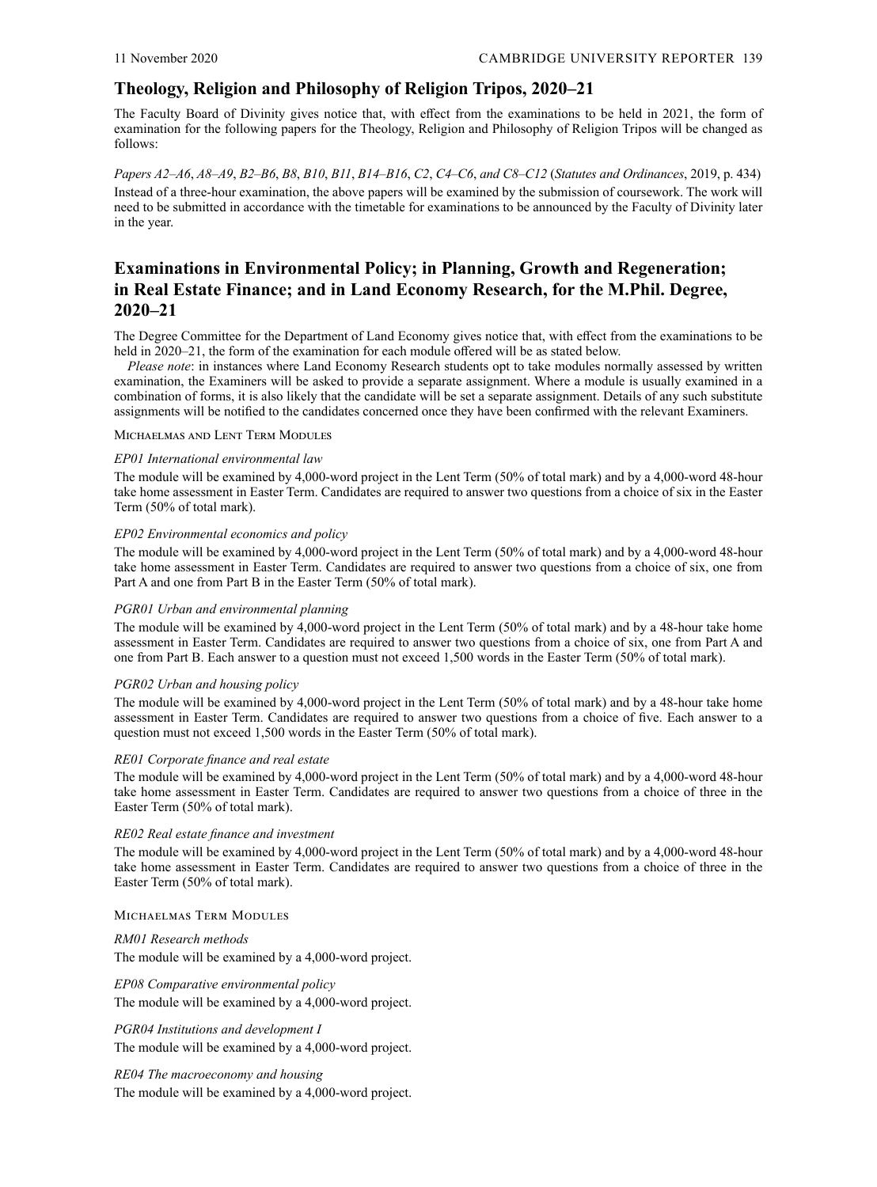# <span id="page-4-0"></span>**Theology, Religion and Philosophy of Religion Tripos, 2020–21**

The Faculty Board of Divinity gives notice that, with effect from the examinations to be held in 2021, the form of examination for the following papers for the Theology, Religion and Philosophy of Religion Tripos will be changed as follows:

*Papers A2–A6*, *A8–A9*, *B2–B6*, *B8*, *B10*, *B11*, *B14–B16*, *C2*, *C4–C6*, *and C8–C12* (*[Statutes and Ordinances](http://www.admin.cam.ac.uk/univ/so/2019/chapter04-section35.html#side-backref-369-1)*, 2019, p. 434) Instead of a three-hour examination, the above papers will be examined by the submission of coursework. The work will need to be submitted in accordance with the timetable for examinations to be announced by the Faculty of Divinity later in the year.

# **Examinations in Environmental Policy; in Planning, Growth and Regeneration; in Real Estate Finance; and in Land Economy Research, for the M.Phil. Degree, 2020–21**

The Degree Committee for the Department of Land Economy gives notice that, with effect from the examinations to be held in 2020–21, the form of the examination for each module offered will be as stated below.

*Please note*: in instances where Land Economy Research students opt to take modules normally assessed by written examination, the Examiners will be asked to provide a separate assignment. Where a module is usually examined in a combination of forms, it is also likely that the candidate will be set a separate assignment. Details of any such substitute assignments will be notified to the candidates concerned once they have been confirmed with the relevant Examiners.

#### Michaelmas and Lent Term Modules

#### *EP01 International environmental law*

The module will be examined by 4,000-word project in the Lent Term (50% of total mark) and by a 4,000-word 48-hour take home assessment in Easter Term. Candidates are required to answer two questions from a choice of six in the Easter Term (50% of total mark).

#### *EP02 Environmental economics and policy*

The module will be examined by 4,000-word project in the Lent Term (50% of total mark) and by a 4,000-word 48-hour take home assessment in Easter Term. Candidates are required to answer two questions from a choice of six, one from Part A and one from Part B in the Easter Term (50% of total mark).

#### *PGR01 Urban and environmental planning*

The module will be examined by 4,000-word project in the Lent Term (50% of total mark) and by a 48-hour take home assessment in Easter Term. Candidates are required to answer two questions from a choice of six, one from Part A and one from Part B. Each answer to a question must not exceed 1,500 words in the Easter Term (50% of total mark).

#### *PGR02 Urban and housing policy*

The module will be examined by 4,000-word project in the Lent Term (50% of total mark) and by a 48-hour take home assessment in Easter Term. Candidates are required to answer two questions from a choice of five. Each answer to a question must not exceed 1,500 words in the Easter Term (50% of total mark).

#### *RE01 Corporate finance and real estate*

The module will be examined by 4,000-word project in the Lent Term (50% of total mark) and by a 4,000‑word 48-hour take home assessment in Easter Term. Candidates are required to answer two questions from a choice of three in the Easter Term (50% of total mark).

#### *RE02 Real estate finance and investment*

The module will be examined by 4,000-word project in the Lent Term (50% of total mark) and by a 4,000‑word 48-hour take home assessment in Easter Term. Candidates are required to answer two questions from a choice of three in the Easter Term (50% of total mark).

#### Michaelmas Term Modules

# *RM01 Research methods* The module will be examined by a 4,000-word project.

*EP08 Comparative environmental policy* The module will be examined by a 4,000-word project.

*PGR04 Institutions and development I* The module will be examined by a 4,000-word project.

*RE04 The macroeconomy and housing* The module will be examined by a 4,000-word project.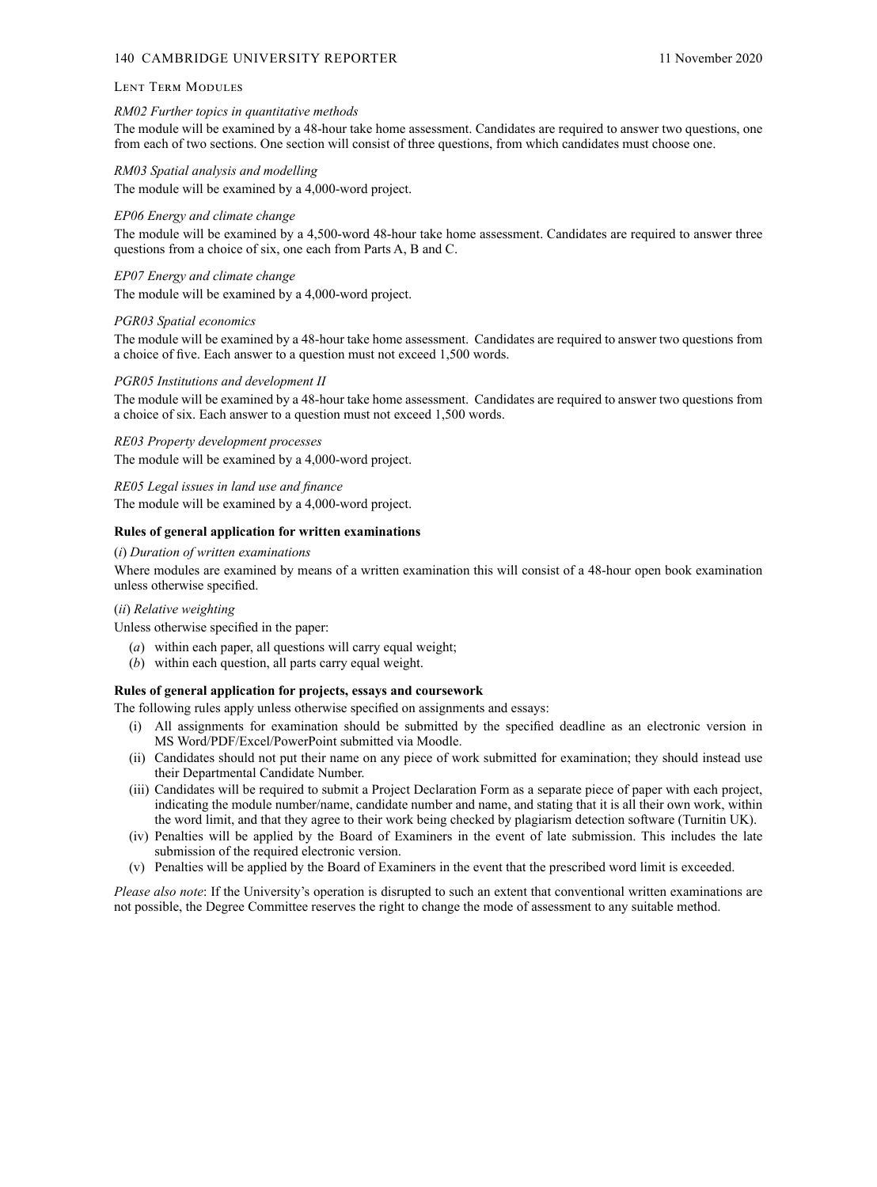#### 140 CAMBRIDGE UNIVERSITY REPORTER 11 November 2020

#### Lent Term Modules

#### *RM02 Further topics in quantitative methods*

The module will be examined by a 48-hour take home assessment. Candidates are required to answer two questions, one from each of two sections. One section will consist of three questions, from which candidates must choose one.

#### *RM03 Spatial analysis and modelling*

The module will be examined by a 4,000-word project.

#### *EP06 Energy and climate change*

The module will be examined by a 4,500-word 48-hour take home assessment. Candidates are required to answer three questions from a choice of six, one each from Parts A, B and C.

#### *EP07 Energy and climate change*

The module will be examined by a 4,000-word project.

#### *PGR03 Spatial economics*

The module will be examined by a 48-hour take home assessment. Candidates are required to answer two questions from a choice of five. Each answer to a question must not exceed 1,500 words.

#### *PGR05 Institutions and development II*

The module will be examined by a 48-hour take home assessment. Candidates are required to answer two questions from a choice of six. Each answer to a question must not exceed 1,500 words.

*RE03 Property development processes* The module will be examined by a 4,000-word project.

*RE05 Legal issues in land use and finance* The module will be examined by a 4,000-word project.

# **Rules of general application for written examinations**

# (*i*) *Duration of written examinations*

Where modules are examined by means of a written examination this will consist of a 48-hour open book examination unless otherwise specified.

#### (*ii*) *Relative weighting*

Unless otherwise specified in the paper:

- (*a*) within each paper, all questions will carry equal weight;
- (*b*) within each question, all parts carry equal weight.

#### **Rules of general application for projects, essays and coursework**

The following rules apply unless otherwise specified on assignments and essays:

- (i) All assignments for examination should be submitted by the specified deadline as an electronic version in MS Word/PDF/Excel/PowerPoint submitted via Moodle.
- (ii) Candidates should not put their name on any piece of work submitted for examination; they should instead use their Departmental Candidate Number.
- (iii) Candidates will be required to submit a Project Declaration Form as a separate piece of paper with each project, indicating the module number/name, candidate number and name, and stating that it is all their own work, within the word limit, and that they agree to their work being checked by plagiarism detection software (Turnitin UK).
- (iv) Penalties will be applied by the Board of Examiners in the event of late submission. This includes the late submission of the required electronic version.
- (v) Penalties will be applied by the Board of Examiners in the event that the prescribed word limit is exceeded.

*Please also note*: If the University's operation is disrupted to such an extent that conventional written examinations are not possible, the Degree Committee reserves the right to change the mode of assessment to any suitable method.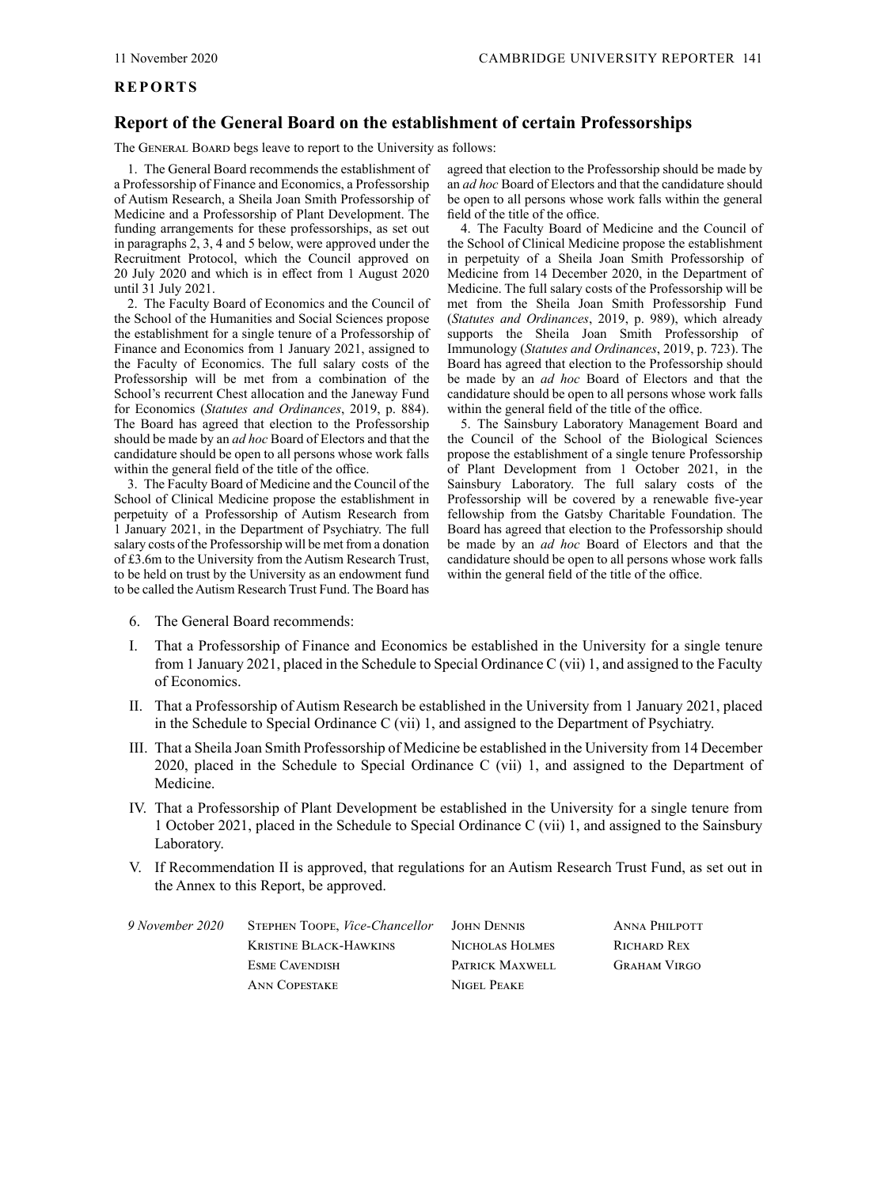# <span id="page-6-0"></span>**REPORTS**

# **Report of the General Board on the establishment of certain Professorships**

The GENERAL BOARD begs leave to report to the University as follows:

1. The General Board recommends the establishment of a Professorship of Finance and Economics, a Professorship of Autism Research, a Sheila Joan Smith Professorship of Medicine and a Professorship of Plant Development. The funding arrangements for these professorships, as set out in paragraphs 2, 3, 4 and 5 below, were approved under the Recruitment Protocol, which the Council approved on 20 July 2020 and which is in effect from 1 August 2020 until 31 July 2021.

2. The Faculty Board of Economics and the Council of the School of the Humanities and Social Sciences propose the establishment for a single tenure of a Professorship of Finance and Economics from 1 January 2021, assigned to the Faculty of Economics. The full salary costs of the Professorship will be met from a combination of the School's recurrent Chest allocation and the Janeway Fund for Economics (*[Statutes and Ordinances](http://www.admin.cam.ac.uk/univ/so/2019/chapter12-section2.html#heading2-273)*, 2019, p. 884). The Board has agreed that election to the Professorship should be made by an *ad hoc* Board of Electors and that the candidature should be open to all persons whose work falls within the general field of the title of the office.

3. The Faculty Board of Medicine and the Council of the School of Clinical Medicine propose the establishment in perpetuity of a Professorship of Autism Research from 1 January 2021, in the Department of Psychiatry. The full salary costs of the Professorship will be met from a donation of £3.6m to the University from the Autism Research Trust, to be held on trust by the University as an endowment fund to be called the Autism Research Trust Fund. The Board has

agreed that election to the Professorship should be made by an *ad hoc* Board of Electors and that the candidature should be open to all persons whose work falls within the general field of the title of the office.

4. The Faculty Board of Medicine and the Council of the School of Clinical Medicine propose the establishment in perpetuity of a Sheila Joan Smith Professorship of Medicine from 14 December 2020, in the Department of Medicine. The full salary costs of the Professorship will be met from the Sheila Joan Smith Professorship Fund (*[Statutes and Ordinances](http://www.admin.cam.ac.uk/univ/so/2019/chapter12-section2.html#heading2-531)*, 2019, p. 989), which already supports the Sheila Joan Smith Professorship of Immunology (*[Statutes and Ordinances](http://www.admin.cam.ac.uk/univ/so/2019/chapter11-section3.html#heading4-105)*, 2019, p. 723). The Board has agreed that election to the Professorship should be made by an *ad hoc* Board of Electors and that the candidature should be open to all persons whose work falls within the general field of the title of the office.

5. The Sainsbury Laboratory Management Board and the Council of the School of the Biological Sciences propose the establishment of a single tenure Professorship of Plant Development from 1 October 2021, in the Sainsbury Laboratory. The full salary costs of the Professorship will be covered by a renewable five-year fellowship from the Gatsby Charitable Foundation. The Board has agreed that election to the Professorship should be made by an *ad hoc* Board of Electors and that the candidature should be open to all persons whose work falls within the general field of the title of the office.

- 6. The General Board recommends:
- I. That a Professorship of Finance and Economics be established in the University for a single tenure from 1 January 2021, placed in the [Schedule to Special Ordinance](http://www.admin.cam.ac.uk/univ/so/2019/special_c-section10.html#heading1-10) C (vii) 1, and assigned to the Faculty of Economics.
- II. That a Professorship of Autism Research be established in the University from 1 January 2021, placed in the Schedule to [Special Ordinance](http://www.admin.cam.ac.uk/univ/so/2019/special_c-section10.html#heading1-10) C (vii) 1, and assigned to the Department of Psychiatry.
- III. That a Sheila Joan Smith Professorship of Medicine be established in the University from 14 December 2020, placed in the [Schedule to Special Ordinance](http://www.admin.cam.ac.uk/univ/so/2019/special_c-section10.html#heading1-10) C (vii) 1, and assigned to the Department of Medicine.
- IV. That a Professorship of Plant Development be established in the University for a single tenure from 1 October 2021, placed in the Schedule to Special Ordinance C (vii) 1, and assigned to the Sainsbury Laboratory.
- V. If Recommendation II is approved, that regulations for an Autism Research Trust Fund, as set out in the [Annex](#page-7-0) to this Report, be approved.

| 9 November 2020 | STEPHEN TOOPE, <i>Vice-Chancellor</i> | JOHN DENNIS     | ANNA PHILPOTT       |
|-----------------|---------------------------------------|-----------------|---------------------|
|                 | Kristine Black-Hawkins                | NICHOLAS HOLMES | RICHARD REX         |
|                 | <b>ESME CAVENDISH</b>                 | PATRICK MAXWELL | <b>GRAHAM VIRGO</b> |
|                 | <b>ANN COPESTAKE</b>                  | NIGEL PEAKE     |                     |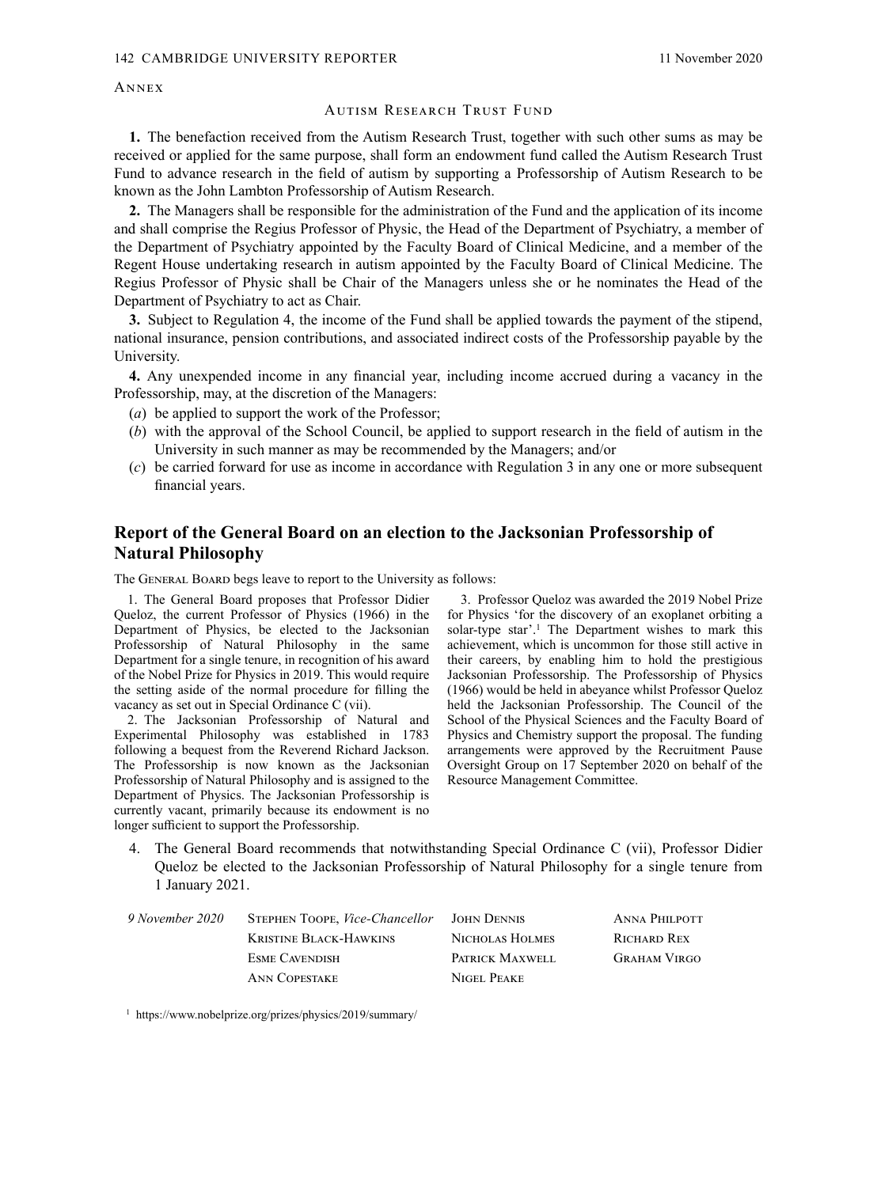# <span id="page-7-0"></span>**ANNEX**

#### AUTISM RESEARCH TRUST FUND

**1.** The benefaction received from the Autism Research Trust, together with such other sums as may be received or applied for the same purpose, shall form an endowment fund called the Autism Research Trust Fund to advance research in the field of autism by supporting a Professorship of Autism Research to be known as the John Lambton Professorship of Autism Research.

**2.** The Managers shall be responsible for the administration of the Fund and the application of its income and shall comprise the Regius Professor of Physic, the Head of the Department of Psychiatry, a member of the Department of Psychiatry appointed by the Faculty Board of Clinical Medicine, and a member of the Regent House undertaking research in autism appointed by the Faculty Board of Clinical Medicine. The Regius Professor of Physic shall be Chair of the Managers unless she or he nominates the Head of the Department of Psychiatry to act as Chair.

**3.** Subject to Regulation 4, the income of the Fund shall be applied towards the payment of the stipend, national insurance, pension contributions, and associated indirect costs of the Professorship payable by the University.

**4.** Any unexpended income in any financial year, including income accrued during a vacancy in the Professorship, may, at the discretion of the Managers:

- (*a*) be applied to support the work of the Professor;
- (*b*) with the approval of the School Council, be applied to support research in the field of autism in the University in such manner as may be recommended by the Managers; and/or
- (*c*) be carried forward for use as income in accordance with Regulation 3 in any one or more subsequent financial years.

# **Report of the General Board on an election to the Jacksonian Professorship of Natural Philosophy**

The GENERAL BOARD begs leave to report to the University as follows:

1. The General Board proposes that Professor Didier Queloz, the current Professor of Physics (1966) in the Department of Physics, be elected to the Jacksonian Professorship of Natural Philosophy in the same Department for a single tenure, in recognition of his award of the Nobel Prize for Physics in 2019. This would require the setting aside of the normal procedure for filling the vacancy as set out in [Special Ordinance](http://www.admin.cam.ac.uk/univ/so/2019/special_c-section9.html#heading1-9) C (vii).

2. The Jacksonian Professorship of Natural and Experimental Philosophy was established in 1783 following a bequest from the Reverend Richard Jackson. The Professorship is now known as the Jacksonian Professorship of Natural Philosophy and is assigned to the Department of Physics. The Jacksonian Professorship is currently vacant, primarily because its endowment is no longer sufficient to support the Professorship.

3. Professor Queloz was awarded the 2019 Nobel Prize for Physics 'for the discovery of an exoplanet orbiting a solar-type star'.<sup>1</sup> The Department wishes to mark this achievement, which is uncommon for those still active in their careers, by enabling him to hold the prestigious Jacksonian Professorship. The Professorship of Physics (1966) would be held in abeyance whilst Professor Queloz held the Jacksonian Professorship. The Council of the School of the Physical Sciences and the Faculty Board of Physics and Chemistry support the proposal. The funding arrangements were approved by the Recruitment Pause Oversight Group on 17 September 2020 on behalf of the Resource Management Committee.

4. The General Board recommends that notwithstanding [Special Ordinance](http://www.admin.cam.ac.uk/univ/so/2019/special_c-section9.html#heading1-9) C (vii), Professor Didier Queloz be elected to the Jacksonian Professorship of Natural Philosophy for a single tenure from 1 January 2021.

| 9 November 2020 | STEPHEN TOOPE, <i>Vice-Chancellor</i> | JOHN DENNIS     | <b>ANNA PHILPOTT</b> |
|-----------------|---------------------------------------|-----------------|----------------------|
|                 | KRISTINE BLACK-HAWKINS                | NICHOLAS HOLMES | RICHARD REX          |
|                 | <b>ESME CAVENDISH</b>                 | PATRICK MAXWELL | <b>GRAHAM VIRGO</b>  |
|                 | <b>ANN COPESTAKE</b>                  | NIGEL PEAKE     |                      |

<sup>1</sup> <https://www.nobelprize.org/prizes/physics/2019/summary/>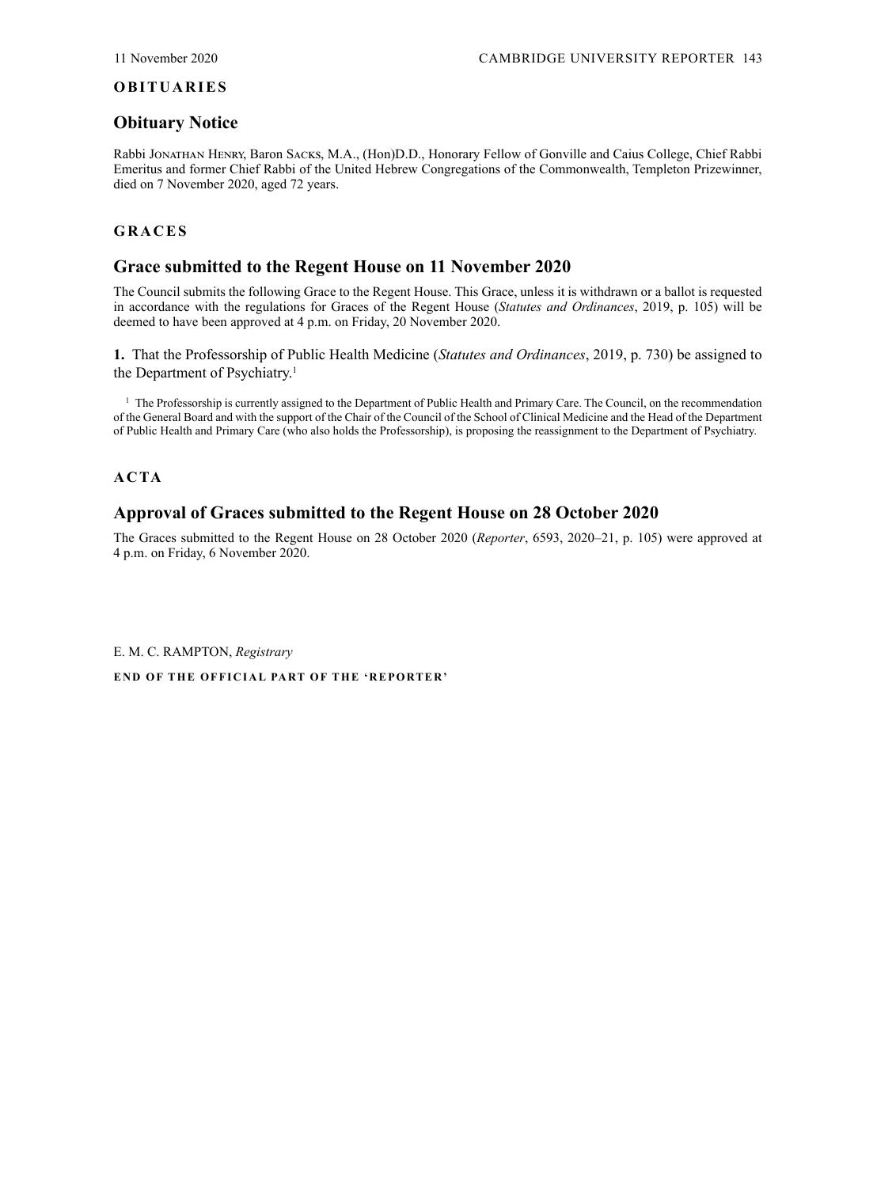#### <span id="page-8-0"></span>**OBITUARIES**

# **Obituary Notice**

Rabbi Jonathan Henry, Baron Sacks, M.A., (Hon)D.D., Honorary Fellow of Gonville and Caius College, Chief Rabbi Emeritus and former Chief Rabbi of the United Hebrew Congregations of the Commonwealth, Templeton Prizewinner, died on 7 November 2020, aged 72 years.

# **GRACES**

# **Grace submitted to the Regent House on 11 November 2020**

The Council submits the following Grace to the Regent House. This Grace, unless it is withdrawn or a ballot is requested in accordance with the regulations for Graces of the Regent House (*[Statutes and Ordinances](http://www.admin.cam.ac.uk/univ/so/2019/chapter01-section4.html#heading2-3)*, 2019, p. 105) will be deemed to have been approved at 4 p.m. on Friday, 20 November 2020.

**1.** That the Professorship of Public Health Medicine (*[Statutes and Ordinances](http://www.admin.cam.ac.uk/univ/so/2019/chapter11-section3.html#heading4-187)*, 2019, p. 730) be assigned to the Department of Psychiatry.<sup>1</sup>

 $<sup>1</sup>$  The Professorship is currently assigned to the Department of Public Health and Primary Care. The Council, on the recommendation</sup> of the General Board and with the support of the Chair of the Council of the School of Clinical Medicine and the Head of the Department of Public Health and Primary Care (who also holds the Professorship), is proposing the reassignment to the Department of Psychiatry.

**ACTA**

# **Approval of Graces submitted to the Regent House on 28 October 2020**

The Graces submitted to the Regent House on 28 October 2020 (*Reporter*[, 6593, 2020–21, p.](https://www.admin.cam.ac.uk/reporter/2020-21/weekly/6593/6593.pdf#page=23) 105) were approved at 4 p.m. on Friday, 6 November 2020.

E. M. C. RAMPTON, *Registrary*

**END OF THE OFFICIAL PART OF THE 'REPORTER'**